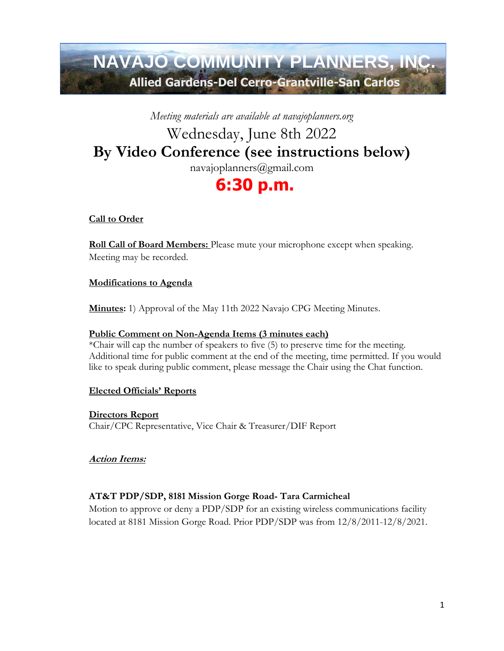# **NAVAJO COMMUNITY PLANNERS, INC. Allied Gardens-Del Cerro-Grantville-San Carlos**

*Meeting materials are available at navajoplanners.org*

# Wednesday, June 8th 2022 **By Video Conference (see instructions below)**

navajoplanners@gmail.com

# **6:30 p.m.**

## **Call to Order**

**Roll Call of Board Members:** Please mute your microphone except when speaking. Meeting may be recorded.

## **Modifications to Agenda**

**Minutes:** 1) Approval of the May 11th 2022 Navajo CPG Meeting Minutes.

### **Public Comment on Non-Agenda Items (3 minutes each)**

\*Chair will cap the number of speakers to five (5) to preserve time for the meeting. Additional time for public comment at the end of the meeting, time permitted. If you would like to speak during public comment, please message the Chair using the Chat function.

## **Elected Officials' Reports**

**Directors Report** Chair/CPC Representative, Vice Chair & Treasurer/DIF Report

## **Action Items:**

## **AT&T PDP/SDP, 8181 Mission Gorge Road- Tara Carmicheal**

Motion to approve or deny a PDP/SDP for an existing wireless communications facility located at 8181 Mission Gorge Road. Prior PDP/SDP was from 12/8/2011-12/8/2021.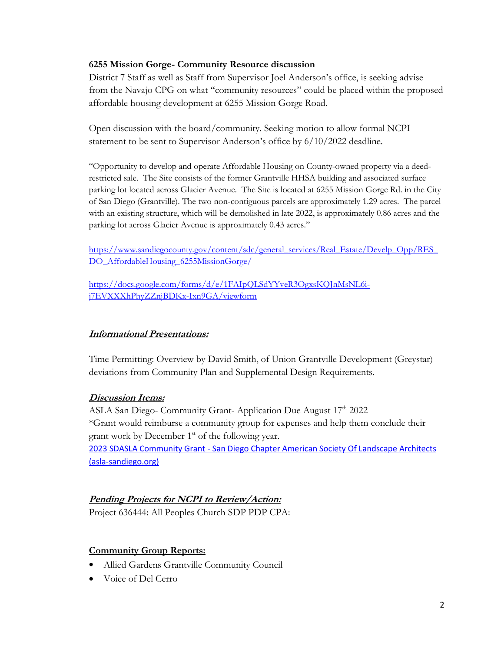#### **6255 Mission Gorge- Community Resource discussion**

District 7 Staff as well as Staff from Supervisor Joel Anderson's office, is seeking advise from the Navajo CPG on what "community resources" could be placed within the proposed affordable housing development at 6255 Mission Gorge Road.

Open discussion with the board/community. Seeking motion to allow formal NCPI statement to be sent to Supervisor Anderson's office by 6/10/2022 deadline.

"Opportunity to develop and operate Affordable Housing on County-owned property via a deedrestricted sale. The Site consists of the former Grantville HHSA building and associated surface parking lot located across Glacier Avenue. The Site is located at 6255 Mission Gorge Rd. in the City of San Diego (Grantville). The two non-contiguous parcels are approximately 1.29 acres. The parcel with an existing structure, which will be demolished in late 2022, is approximately 0.86 acres and the parking lot across Glacier Avenue is approximately 0.43 acres."

https://www.sandiegocounty.gov/content/sdc/general\_services/Real\_Estate/Develp\_Opp/RES [DO\\_AffordableHousing\\_6255MissionGorge/](https://www.sandiegocounty.gov/content/sdc/general_services/Real_Estate/Develp_Opp/RES_DO_AffordableHousing_6255MissionGorge/)

[https://docs.google.com/forms/d/e/1FAIpQLSdYYveR3OgxsKQJnMsNL6i](https://docs.google.com/forms/d/e/1FAIpQLSdYYveR3OgxsKQJnMsNL6i-j7EVXXXhPhyZZnjBDKx-Ixn9GA/viewform)[j7EVXXXhPhyZZnjBDKx-Ixn9GA/viewform](https://docs.google.com/forms/d/e/1FAIpQLSdYYveR3OgxsKQJnMsNL6i-j7EVXXXhPhyZZnjBDKx-Ixn9GA/viewform)

### **Informational Presentations:**

Time Permitting: Overview by David Smith, of Union Grantville Development (Greystar) deviations from Community Plan and Supplemental Design Requirements.

#### **Discussion Items:**

ASLA San Diego- Community Grant-Application Due August  $17<sup>th</sup>$  2022 \*Grant would reimburse a community group for expenses and help them conclude their grant work by December 1<sup>st</sup> of the following year. 2023 SDASLA Community Grant - [San Diego Chapter American Society Of Landscape Architects](https://www.asla-sandiego.org/event/2023-sdasla-community-grant/)  [\(asla-sandiego.org\)](https://www.asla-sandiego.org/event/2023-sdasla-community-grant/)

### **Pending Projects for NCPI to Review/Action:**

Project 636444: All Peoples Church SDP PDP CPA:

### **Community Group Reports:**

- Allied Gardens Grantville Community Council
- Voice of Del Cerro